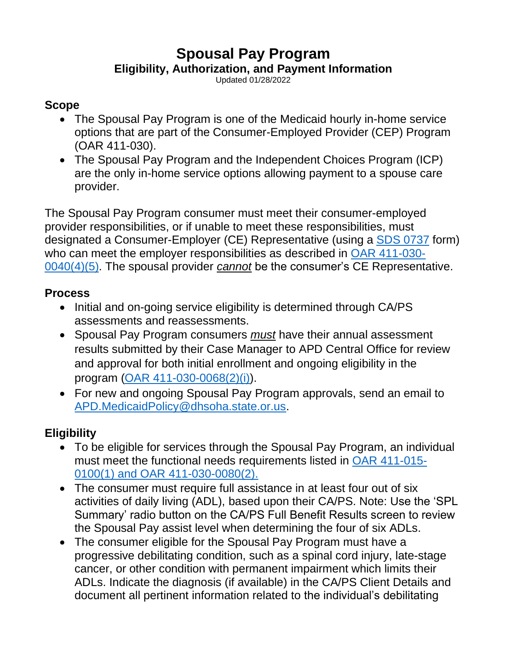# **Spousal Pay Program**

#### **Eligibility, Authorization, and Payment Information**

Updated 01/28/2022

#### **Scope**

- The Spousal Pay Program is one of the Medicaid hourly in-home service options that are part of the Consumer-Employed Provider (CEP) Program (OAR 411-030).
- The Spousal Pay Program and the Independent Choices Program (ICP) are the only in-home service options allowing payment to a spouse care provider.

The Spousal Pay Program consumer must meet their consumer-employed provider responsibilities, or if unable to meet these responsibilities, must designated a Consumer-Employer (CE) Representative (using a [SDS 0737](https://sharedsystems.dhsoha.state.or.us/DHSForms/Served/se0737.pdf?CFGRIDKEY=APD%200737,0737,Representative%20Choice%20Form,se0737.pdf,,se0737.docx,,,,,,,,../FORMS/-,,../FORMS/-,) form) who can meet the employer responsibilities as described in [OAR 411-030-](file:///C:/Users/OR0236788/AppData/Local/Microsoft/Windows/INetCache/Content.Outlook/NMS6XZX6/Forms%20and%20Systems) [0040\(4\)\(5\).](file:///C:/Users/OR0236788/AppData/Local/Microsoft/Windows/INetCache/Content.Outlook/NMS6XZX6/Forms%20and%20Systems) The spousal provider *cannot* be the consumer's CE Representative.

#### **Process**

- Initial and on-going service eligibility is determined through CA/PS assessments and reassessments.
- Spousal Pay Program consumers *must* have their annual assessment results submitted by their Case Manager to APD Central Office for review and approval for both initial enrollment and ongoing eligibility in the program [\(OAR 411-030-0068\(2\)\(i\)\)](https://www.oregon.gov/DHS/SENIORS-DISABILITIES/SPPD/APDRules/411-030.pdf).
- For new and ongoing Spousal Pay Program approvals, send an email to [APD.MedicaidPolicy@dhsoha.state.or.us.](mailto:APD.MedicaidPolicy@dhsoha.state.or.us)

### **Eligibility**

- To be eligible for services through the Spousal Pay Program, an individual must meet the functional needs requirements listed in [OAR 411-015-](https://www.oregon.gov/DHS/SENIORS-DISABILITIES/SPPD/APDRules/411-015.pdf) 0100(1) [and OAR 411-030-0080\(2\).](https://www.oregon.gov/DHS/SENIORS-DISABILITIES/SPPD/APDRules/411-015.pdf)
- The consumer must require full assistance in at least four out of six activities of daily living (ADL), based upon their CA/PS. Note: Use the 'SPL Summary' radio button on the CA/PS Full Benefit Results screen to review the Spousal Pay assist level when determining the four of six ADLs.
- The consumer eligible for the Spousal Pay Program must have a progressive debilitating condition, such as a spinal cord injury, late-stage cancer, or other condition with permanent impairment which limits their ADLs. Indicate the diagnosis (if available) in the CA/PS Client Details and document all pertinent information related to the individual's debilitating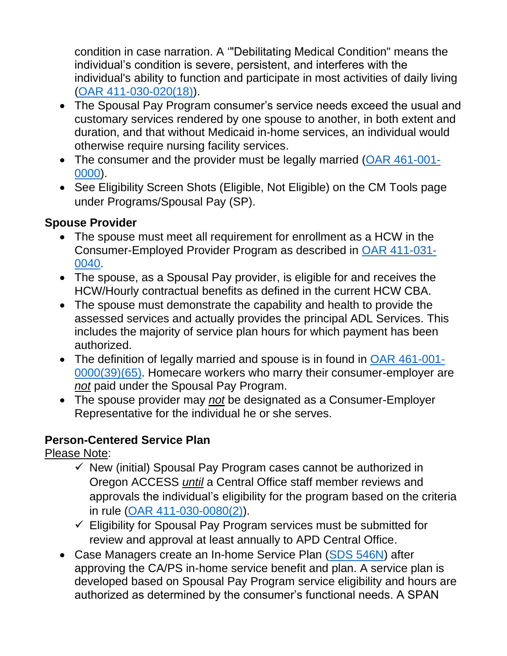condition in case narration. A '"Debilitating Medical Condition" means the individual's condition is severe, persistent, and interferes with the individual's ability to function and participate in most activities of daily living [\(OAR 411-030-020\(18\)\)](https://www.oregon.gov/DHS/SENIORS-DISABILITIES/SPPD/APDRules/411-030.pdf).

- The Spousal Pay Program consumer's service needs exceed the usual and customary services rendered by one spouse to another, in both extent and duration, and that without Medicaid in-home services, an individual would otherwise require nursing facility services.
- The consumer and the provider must be legally married [\(OAR 461-001-](https://sharedsystems.dhsoha.state.or.us/caf/arm/A/461-001-0000.htm) [0000\)](https://sharedsystems.dhsoha.state.or.us/caf/arm/A/461-001-0000.htm).
- See Eligibility Screen Shots (Eligible, Not Eligible) on the CM Tools page under Programs/Spousal Pay (SP).

#### **Spouse Provider**

- The spouse must meet all requirement for enrollment as a HCW in the Consumer-Employed Provider Program as described in [OAR 411-031-](file:///C:/Users/OR0236788/AppData/Local/Microsoft/Windows/INetCache/Content.Outlook/NMS6XZX6/Forms%20and%20Systems) [0040.](file:///C:/Users/OR0236788/AppData/Local/Microsoft/Windows/INetCache/Content.Outlook/NMS6XZX6/Forms%20and%20Systems)
- The spouse, as a Spousal Pay provider, is eligible for and receives the HCW/Hourly contractual benefits as defined in the current HCW CBA.
- The spouse must demonstrate the capability and health to provide the assessed services and actually provides the principal ADL Services. This includes the majority of service plan hours for which payment has been authorized.
- The definition of legally married and spouse is in found in [OAR 461-001-](https://apps.state.or.us/cf1/caf/arm/A/461-001-0000.htm) [0000\(39\)\(65\).](https://apps.state.or.us/cf1/caf/arm/A/461-001-0000.htm) Homecare workers who marry their consumer-employer are *not* paid under the Spousal Pay Program.
- The spouse provider may *not* be designated as a Consumer-Employer Representative for the individual he or she serves.

#### **Person-Centered Service Plan**

Please Note:

- $\checkmark$  New (initial) Spousal Pay Program cases cannot be authorized in Oregon ACCESS *until* a Central Office staff member reviews and approvals the individual's eligibility for the program based on the criteria in rule [\(OAR 411-030-0080\(2\)\)](https://www.oregon.gov/DHS/SENIORS-DISABILITIES/SPPD/APDRules/411-030.pdf).
- $\checkmark$  Eligibility for Spousal Pay Program services must be submitted for review and approval at least annually to APD Central Office.
- Case Managers create an In-home Service Plan [\(SDS 546N\)](https://sharedsystems.dhsoha.state.or.us/DHSForms/Served/se0450.pdf?CFGRIDKEY=APD%200450,0450,Liability%20Worksheet%20for%20Long%20Term%20Care%20or%20Home%20and%20Community-Based%20Care,se0450.pdf,,,,,,,,,,../FORMS/-,,../FORMS/-,) after approving the CA/PS in-home service benefit and plan. A service plan is developed based on Spousal Pay Program service eligibility and hours are authorized as determined by the consumer's functional needs. A SPAN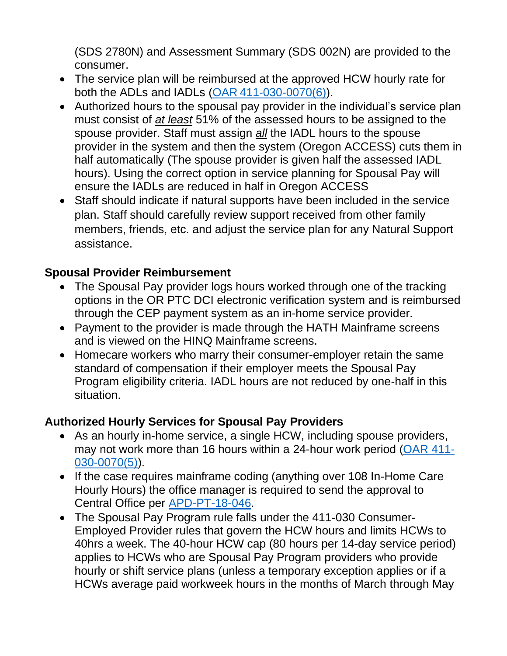(SDS 2780N) and Assessment Summary (SDS 002N) are provided to the consumer.

- The service plan will be reimbursed at the approved HCW hourly rate for both the ADLs and IADLs (OAR [411-030-0070\(6\)\)](https://www.oregon.gov/DHS/SENIORS-DISABILITIES/SPPD/APDRules/411-030.pdf).
- Authorized hours to the spousal pay provider in the individual's service plan must consist of *at least* 51% of the assessed hours to be assigned to the spouse provider. Staff must assign *all* the IADL hours to the spouse provider in the system and then the system (Oregon ACCESS) cuts them in half automatically (The spouse provider is given half the assessed IADL hours). Using the correct option in service planning for Spousal Pay will ensure the IADLs are reduced in half in Oregon ACCESS
- Staff should indicate if natural supports have been included in the service plan. Staff should carefully review support received from other family members, friends, etc. and adjust the service plan for any Natural Support assistance.

#### **Spousal Provider Reimbursement**

- The Spousal Pay provider logs hours worked through one of the tracking options in the OR PTC DCI electronic verification system and is reimbursed through the CEP payment system as an in-home service provider.
- Payment to the provider is made through the HATH Mainframe screens and is viewed on the HINQ Mainframe screens.
- Homecare workers who marry their consumer-employer retain the same standard of compensation if their employer meets the Spousal Pay Program eligibility criteria. IADL hours are not reduced by one-half in this situation.

#### **Authorized Hourly Services for Spousal Pay Providers**

- As an hourly in-home service, a single HCW, including spouse providers, may not work more than 16 hours within a 24-hour work period [\(OAR 411-](https://www.oregon.gov/DHS/SENIORS-DISABILITIES/SPPD/APDRules/411-030.pdf) [030-0070\(5\)\)](https://www.oregon.gov/DHS/SENIORS-DISABILITIES/SPPD/APDRules/411-030.pdf).
- If the case requires mainframe coding (anything over 108 In-Home Care Hourly Hours) the office manager is required to send the approval to Central Office per [APD-PT-18-046.](http://www.dhs.state.or.us/policy/spd/transmit/pt/2018/pt18046.pdf)
- The Spousal Pay Program rule falls under the 411-030 Consumer-Employed Provider rules that govern the HCW hours and limits HCWs to 40hrs a week. The 40-hour HCW cap (80 hours per 14-day service period) applies to HCWs who are Spousal Pay Program providers who provide hourly or shift service plans (unless a temporary exception applies or if a HCWs average paid workweek hours in the months of March through May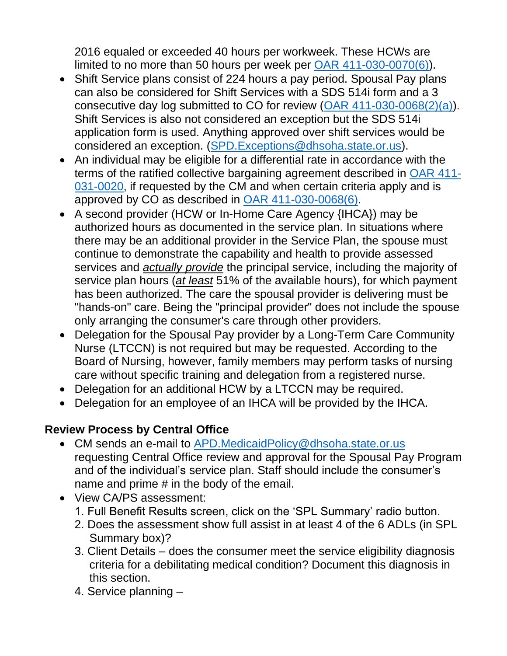2016 equaled or exceeded 40 hours per workweek. These HCWs are limited to no more than 50 hours per week per [OAR 411-030-0070\(6\)\)](https://www.oregon.gov/DHS/SENIORS-DISABILITIES/SPPD/APDRules/411-030.pdf).

- Shift Service plans consist of 224 hours a pay period. Spousal Pay plans can also be considered for Shift Services with a SDS 514i form and a 3 consecutive day log submitted to CO for review [\(OAR 411-030-0068\(2\)\(a\)\)](https://www.oregon.gov/DHS/SENIORS-DISABILITIES/SPPD/APDRules/411-030.pdf). Shift Services is also not considered an exception but the SDS 514i application form is used. Anything approved over shift services would be considered an exception. [\(SPD.Exceptions@dhsoha.state.or.us\)](file:///C:/Users/OR0236788/AppData/Local/Microsoft/Windows/INetCache/Content.Outlook/NMS6XZX6/SPD.Exceptions@dhsoha.state.or.us).
- An individual may be eligible for a differential rate in accordance with the terms of the ratified collective bargaining agreement described in [OAR 411-](https://www.oregon.gov/DHS/SENIORS-DISABILITIES/SPPD/APDRules/411-031.pdf) [031-0020,](https://www.oregon.gov/DHS/SENIORS-DISABILITIES/SPPD/APDRules/411-031.pdf) if requested by the CM and when certain criteria apply and is approved by CO as described in [OAR 411-030-0068\(6\).](https://www.oregon.gov/DHS/SENIORS-DISABILITIES/SPPD/APDRules/411-030.pdf)
- A second provider (HCW or In-Home Care Agency {IHCA}) may be authorized hours as documented in the service plan. In situations where there may be an additional provider in the Service Plan, the spouse must continue to demonstrate the capability and health to provide assessed services and *actually provide* the principal service, including the majority of service plan hours (*at least* 51% of the available hours), for which payment has been authorized. The care the spousal provider is delivering must be "hands-on" care. Being the "principal provider" does not include the spouse only arranging the consumer's care through other providers.
- Delegation for the Spousal Pay provider by a Long-Term Care Community Nurse (LTCCN) is not required but may be requested. According to the Board of Nursing, however, family members may perform tasks of nursing care without specific training and delegation from a registered nurse.
- Delegation for an additional HCW by a LTCCN may be required.
- Delegation for an employee of an IHCA will be provided by the IHCA.

### **Review Process by Central Office**

- CM sends an e-mail to [APD.MedicaidPolicy@dhsoha.state.or.us](mailto:APD.MedicaidPolicy@dhsoha.state.or.us) requesting Central Office review and approval for the Spousal Pay Program and of the individual's service plan. Staff should include the consumer's name and prime # in the body of the email.
- View CA/PS assessment:
	- 1. Full Benefit Results screen, click on the 'SPL Summary' radio button.
	- 2. Does the assessment show full assist in at least 4 of the 6 ADLs (in SPL Summary box)?
	- 3. Client Details does the consumer meet the service eligibility diagnosis criteria for a debilitating medical condition? Document this diagnosis in this section.
	- 4. Service planning –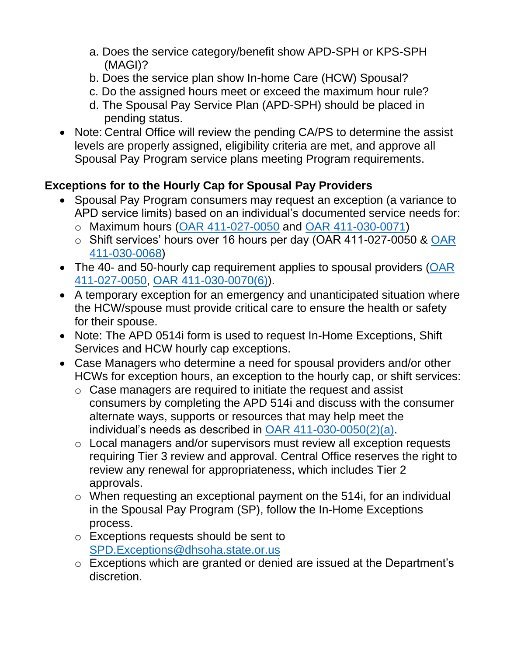- a. Does the service category/benefit show APD-SPH or KPS-SPH (MAGI)?
- b. Does the service plan show In-home Care (HCW) Spousal?
- c. Do the assigned hours meet or exceed the maximum hour rule?
- d. The Spousal Pay Service Plan (APD-SPH) should be placed in pending status.
- Note: Central Office will review the pending CA/PS to determine the assist levels are properly assigned, eligibility criteria are met, and approve all Spousal Pay Program service plans meeting Program requirements.

## **Exceptions for to the Hourly Cap for Spousal Pay Providers**

- Spousal Pay Program consumers may request an exception (a variance to APD service limits) based on an individual's documented service needs for:
	- o Maximum hours [\(OAR 411-027-0050](https://www.oregon.gov/DHS/SENIORS-DISABILITIES/SPPD/APDRules/411-027.pdf) and [OAR 411-030-0071\)](https://www.oregon.gov/DHS/SENIORS-DISABILITIES/SPPD/APDRules/411-030.pdf)
	- o Shift services' hours over 16 hours per day (OAR 411-027-0050 & OAR [411-030-0068\)](https://www.oregon.gov/DHS/SENIORS-DISABILITIES/SPPD/APDRules/411-030.pdf)
- The 40- and 50-hourly cap requirement applies to spousal providers  $(OAR)$ [411-027-0050,](https://www.oregon.gov/DHS/SENIORS-DISABILITIES/SPPD/APDRules/411-027.pdf) [OAR 411-030-0070\(6\)\)](https://www.oregon.gov/DHS/SENIORS-DISABILITIES/SPPD/APDRules/411-030.pdf).
- A temporary exception for an emergency and unanticipated situation where the HCW/spouse must provide critical care to ensure the health or safety for their spouse.
- Note: The APD 0514i form is used to request In-Home Exceptions, Shift Services and HCW hourly cap exceptions.
- Case Managers who determine a need for spousal providers and/or other HCWs for exception hours, an exception to the hourly cap, or shift services:
	- o Case managers are required to initiate the request and assist consumers by completing the APD 514i and discuss with the consumer alternate ways, supports or resources that may help meet the individual's needs as described in [OAR 411-030-0050\(2\)\(a\).](https://www.oregon.gov/DHS/SENIORS-DISABILITIES/SPPD/APDRules/411-030.pdf)
	- o Local managers and/or supervisors must review all exception requests requiring Tier 3 review and approval. Central Office reserves the right to review any renewal for appropriateness, which includes Tier 2 approvals.
	- o When requesting an exceptional payment on the 514i, for an individual in the Spousal Pay Program (SP), follow the In-Home Exceptions process.
	- o Exceptions requests should be sent to [SPD.Exceptions@dhsoha.state.or.us](mailto:SPD.Exceptions@dhsoha.state.or.us)
	- o Exceptions which are granted or denied are issued at the Department's discretion.